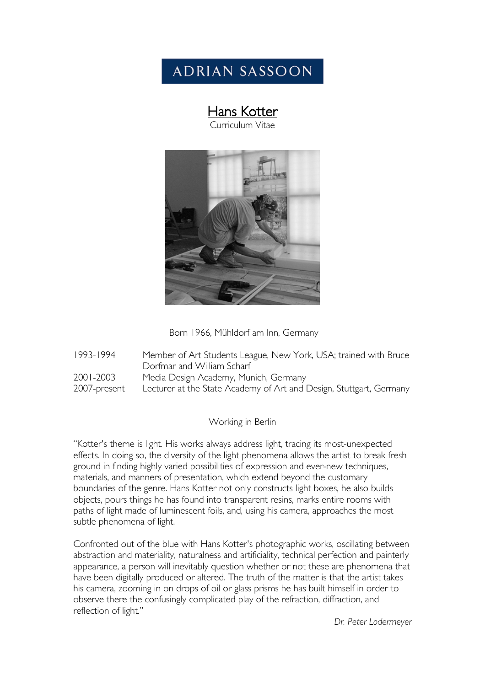## **ADRIAN SASSOON**

# <mark>Hans Kotter</mark><br>Curriculum Vitae



Born 1966, Mühldorf am Inn, Germany

1993-1994 Member of Art Students League, New York, USA; trained with Bruce Dorfmar and William Scharf 2001-2003 Media Design Academy, Munich, Germany 2007-present Lecturer at the State Academy of Art and Design, Stuttgart, Germany

#### Working in Berlin

"Kotter's theme is light. His works always address light, tracing its most-unexpected effects. In doing so, the diversity of the light phenomena allows the artist to break fresh ground in finding highly varied possibilities of expression and ever-new techniques, materials, and manners of presentation, which extend beyond the customary boundaries of the genre. Hans Kotter not only constructs light boxes, he also builds objects, pours things he has found into transparent resins, marks entire rooms with paths of light made of luminescent foils, and, using his camera, approaches the most subtle phenomena of light.

Confronted out of the blue with Hans Kotter's photographic works, oscillating between abstraction and materiality, naturalness and artificiality, technical perfection and painterly appearance, a person will inevitably question whether or not these are phenomena that have been digitally produced or altered. The truth of the matter is that the artist takes his camera, zooming in on drops of oil or glass prisms he has built himself in order to observe there the confusingly complicated play of the refraction, diffraction, and reflection of light."

*Dr. Peter Lodermeyer*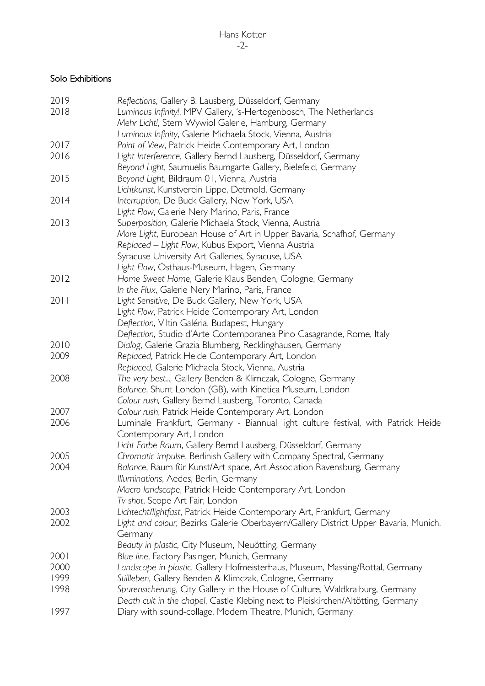### Solo Exhibitions

| 2019 | Reflections, Gallery B. Lausberg, Düsseldorf, Germany                                |
|------|--------------------------------------------------------------------------------------|
| 2018 | Luminous Infinity!, MPV Gallery, 's-Hertogenbosch, The Netherlands                   |
|      | Mehr Licht!, Stern Wywiol Galerie, Hamburg, Germany                                  |
|      | Luminous Infinity, Galerie Michaela Stock, Vienna, Austria                           |
| 2017 | Point of View, Patrick Heide Contemporary Art, London                                |
| 2016 | Light Interference, Gallery Bernd Lausberg, Düsseldorf, Germany                      |
|      | Beyond Light, Saumuelis Baumgarte Gallery, Bielefeld, Germany                        |
| 2015 | Beyond Light, Bildraum 01, Vienna, Austria                                           |
|      | Lichtkunst, Kunstverein Lippe, Detmold, Germany                                      |
| 2014 | Interruption, De Buck Gallery, New York, USA                                         |
|      | Light Flow, Galerie Nery Marino, Paris, France                                       |
| 2013 | Superposition, Galerie Michaela Stock, Vienna, Austria                               |
|      | More Light, European House of Art in Upper Bavaria, Schafhof, Germany                |
|      | Replaced - Light Flow, Kubus Export, Vienna Austria                                  |
|      | Syracuse University Art Galleries, Syracuse, USA                                     |
|      | Light Flow, Osthaus-Museum, Hagen, Germany                                           |
| 2012 | Home Sweet Home, Galerie Klaus Benden, Cologne, Germany                              |
|      | In the Flux, Galerie Nery Marino, Paris, France                                      |
| 2011 | Light Sensitive, De Buck Gallery, New York, USA                                      |
|      | Light Flow, Patrick Heide Contemporary Art, London                                   |
|      | Deflection, Viltin Galéria, Budapest, Hungary                                        |
|      | Deflection, Studio d'Arte Contemporanea Pino Casagrande, Rome, Italy                 |
| 2010 | Dialog, Galerie Grazia Blumberg, Recklinghausen, Germany                             |
| 2009 | Replaced, Patrick Heide Contemporary Art, London                                     |
|      | Replaced, Galerie Michaela Stock, Vienna, Austria                                    |
| 2008 | The very best, Gallery Benden & Klimczak, Cologne, Germany                           |
|      | Balance, Shunt London (GB), with Kinetica Museum, London                             |
|      | Colour rush, Gallery Bernd Lausberg, Toronto, Canada                                 |
| 2007 |                                                                                      |
|      | Colour rush, Patrick Heide Contemporary Art, London                                  |
| 2006 | Luminale Frankfurt, Germany - Biannual light culture festival, with Patrick Heide    |
|      | Contemporary Art, London                                                             |
|      | Licht Farbe Raum, Gallery Bernd Lausberg, Düsseldorf, Germany                        |
| 2005 | Chromatic impulse, Berlinish Gallery with Company Spectral, Germany                  |
| 2004 | Balance, Raum für Kunst/Art space, Art Association Ravensburg, Germany               |
|      | Illuminations, Aedes, Berlin, Germany                                                |
|      | Macro landscape, Patrick Heide Contemporary Art, London                              |
|      | Tv shot, Scope Art Fair, London                                                      |
| 2003 | Lichtecht/lightfast, Patrick Heide Contemporary Art, Frankfurt, Germany              |
| 2002 | Light and colour, Bezirks Galerie Oberbayern/Gallery District Upper Bavaria, Munich, |
|      | Germany                                                                              |
|      | Beauty in plastic, City Museum, Neuötting, Germany                                   |
| 2001 | Blue line, Factory Pasinger, Munich, Germany                                         |
| 2000 | Landscape in plastic, Gallery Hofmeisterhaus, Museum, Massing/Rottal, Germany        |
| 1999 | Stillleben, Gallery Benden & Klimczak, Cologne, Germany                              |
| 1998 | Spurensicherung, City Gallery in the House of Culture, Waldkraiburg, Germany         |
|      | Death cult in the chapel, Castle Klebing next to Pleiskirchen/Altötting, Germany     |
| 1997 | Diary with sound-collage, Modern Theatre, Munich, Germany                            |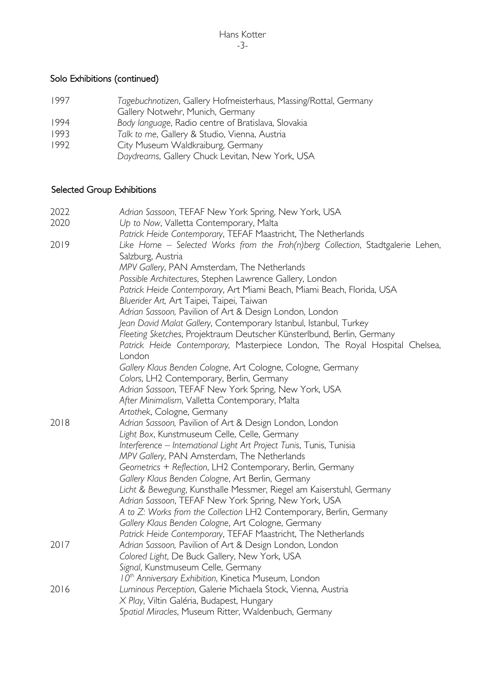### Solo Exhibitions (continued)

- 1997 *Tagebuchnotizen*, Gallery Hofmeisterhaus, Massing/Rottal, Germany
- Gallery Notwehr, Munich, Germany
- 1994 *Body language*, Radio centre of Bratislava, Slovakia
- 1993 *Talk to me*, Gallery & Studio, Vienna, Austria
- 1992 City Museum Waldkraiburg, Germany
	- *Daydreams*, Gallery Chuck Levitan, New York, USA

### Selected Group Exhibitions

| 2022 | Adrian Sassoon, TEFAF New York Spring, New York, USA                            |
|------|---------------------------------------------------------------------------------|
| 2020 | Up to Now, Valletta Contemporary, Malta                                         |
|      | Patrick Heide Contemporary, TEFAF Maastricht, The Netherlands                   |
| 2019 | Like Home - Selected Works from the Froh(n)berg Collection, Stadtgalerie Lehen, |
|      | Salzburg, Austria                                                               |
|      | MPV Gallery, PAN Amsterdam, The Netherlands                                     |
|      | Possible Architectures, Stephen Lawrence Gallery, London                        |
|      | Patrick Heide Contemporary, Art Miami Beach, Miami Beach, Florida, USA          |
|      | Bluerider Art, Art Taipei, Taipei, Taiwan                                       |
|      | Adrian Sassoon, Pavilion of Art & Design London, London                         |
|      | Jean David Malat Gallery, Contemporary Istanbul, Istanbul, Turkey               |
|      | Fleeting Sketches, Projektraum Deutscher Künsterlbund, Berlin, Germany          |
|      | Patrick Heide Contemporary, Masterpiece London, The Royal Hospital Chelsea,     |
|      | London                                                                          |
|      | Gallery Klaus Benden Cologne, Art Cologne, Cologne, Germany                     |
|      | Colors, LH2 Contemporary, Berlin, Germany                                       |
|      | Adrian Sassoon, TEFAF New York Spring, New York, USA                            |
|      | After Minimalism, Valletta Contemporary, Malta                                  |
|      | Artothek, Cologne, Germany                                                      |
| 2018 | Adrian Sassoon, Pavilion of Art & Design London, London                         |
|      | Light Box, Kunstmuseum Celle, Celle, Germany                                    |
|      | Interference - International Light Art Project Tunis, Tunis, Tunisia            |
|      | MPV Gallery, PAN Amsterdam, The Netherlands                                     |
|      | Geometrics + Reflection, LH2 Contemporary, Berlin, Germany                      |
|      | Gallery Klaus Benden Cologne, Art Berlin, Germany                               |
|      | Licht & Bewegung, Kunsthalle Messmer, Riegel am Kaiserstuhl, Germany            |
|      | Adrian Sassoon, TEFAF New York Spring, New York, USA                            |
|      | A to Z: Works from the Collection LH2 Contemporary, Berlin, Germany             |
|      | Gallery Klaus Benden Cologne, Art Cologne, Germany                              |
|      | Patrick Heide Contemporary, TEFAF Maastricht, The Netherlands                   |
| 2017 | Adrian Sassoon, Pavilion of Art & Design London, London                         |
|      | Colored Light, De Buck Gallery, New York, USA                                   |
|      | Signal, Kunstmuseum Celle, Germany                                              |
|      | 10 <sup>th</sup> Anniversary Exhibition, Kinetica Museum, London                |
| 2016 | Luminous Perception, Galerie Michaela Stock, Vienna, Austria                    |
|      | X Play, Viltin Galéria, Budapest, Hungary                                       |
|      | Spatial Miracles, Museum Ritter, Waldenbuch, Germany                            |
|      |                                                                                 |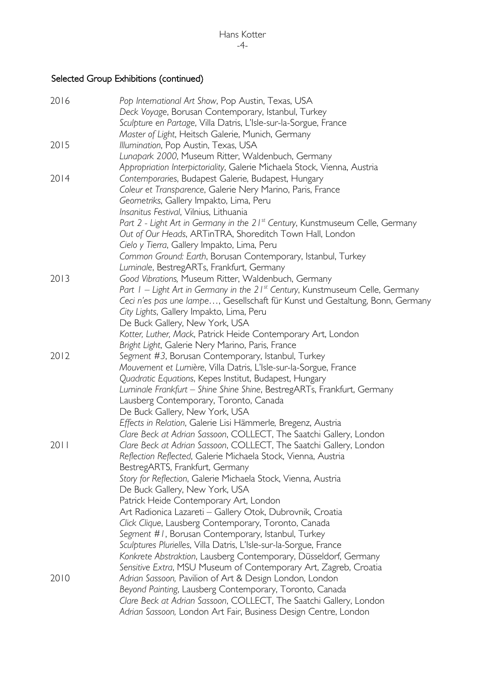### Selected Group Exhibitions (continued)

| 2016 | Pop International Art Show, Pop Austin, Texas, USA<br>Deck Voyage, Borusan Contemporary, Istanbul, Turkey |
|------|-----------------------------------------------------------------------------------------------------------|
|      | Sculpture en Partage, Villa Datris, L'Isle-sur-la-Sorgue, France                                          |
|      | Master of Light, Heitsch Galerie, Munich, Germany                                                         |
| 2015 | Illumination, Pop Austin, Texas, USA                                                                      |
|      | Lunapark 2000, Museum Ritter, Waldenbuch, Germany                                                         |
|      | Appropriation Interpictoriality, Galerie Michaela Stock, Vienna, Austria                                  |
| 2014 | Contemporaries, Budapest Galerie, Budapest, Hungary                                                       |
|      | Coleur et Transparence, Galerie Nery Marino, Paris, France                                                |
|      | Geometriks, Gallery Impakto, Lima, Peru                                                                   |
|      | Insanitus Festival, Vilnius, Lithuania                                                                    |
|      | Part 2 - Light Art in Germany in the $21^{st}$ Century, Kunstmuseum Celle, Germany                        |
|      | Out of Our Heads, ARTinTRA, Shoreditch Town Hall, London                                                  |
|      | Cielo y Tierra, Gallery Impakto, Lima, Peru                                                               |
|      | Common Ground: Earth, Borusan Contemporary, Istanbul, Turkey                                              |
|      | Luminale, BestregARTs, Frankfurt, Germany                                                                 |
| 2013 | Good Vibrations, Museum Ritter, Waldenbuch, Germany                                                       |
|      | Part $1$ – Light Art in Germany in the 21 <sup>st</sup> Century, Kunstmuseum Celle, Germany               |
|      | Ceci n'es pas une lampe, Gesellschaft für Kunst und Gestaltung, Bonn, Germany                             |
|      | City Lights, Gallery Impakto, Lima, Peru                                                                  |
|      | De Buck Gallery, New York, USA                                                                            |
|      | Kotter, Luther, Mack, Patrick Heide Contemporary Art, London                                              |
|      | Bright Light, Galerie Nery Marino, Paris, France                                                          |
| 2012 | Segment #3, Borusan Contemporary, Istanbul, Turkey                                                        |
|      | Mouvement et Lumière, Villa Datris, L'Isle-sur-la-Sorgue, France                                          |
|      | Quadratic Equations, Kepes Institut, Budapest, Hungary                                                    |
|      | Luminale Frankfurt - Shine Shine Shine, BestregARTs, Frankfurt, Germany                                   |
|      | Lausberg Contemporary, Toronto, Canada                                                                    |
|      | De Buck Gallery, New York, USA                                                                            |
|      | Effects in Relation, Galerie Lisi Hämmerle, Bregenz, Austria                                              |
|      | Clare Beck at Adrian Sassoon, COLLECT, The Saatchi Gallery, London                                        |
| 2011 | Clare Beck at Adrian Sassoon, COLLECT, The Saatchi Gallery, London                                        |
|      | Reflection Reflected, Galerie Michaela Stock, Vienna, Austria                                             |
|      | BestregARTS, Frankfurt, Germany                                                                           |
|      | Story for Reflection, Galerie Michaela Stock, Vienna, Austria                                             |
|      | De Buck Gallery, New York, USA                                                                            |
|      | Patrick Heide Contemporary Art, London                                                                    |
|      | Art Radionica Lazareti - Gallery Otok, Dubrovnik, Croatia                                                 |
|      | Click Clique, Lausberg Contemporary, Toronto, Canada                                                      |
|      | Segment #1, Borusan Contemporary, Istanbul, Turkey                                                        |
|      | Sculptures Plurielles, Villa Datris, L'Isle-sur-la-Sorgue, France                                         |
|      | Konkrete Abstraktion, Lausberg Contemporary, Düsseldorf, Germany                                          |
|      | Sensitive Extra, MSU Museum of Contemporary Art, Zagreb, Croatia                                          |
| 2010 | Adrian Sassoon, Pavilion of Art & Design London, London                                                   |
|      | Beyond Painting, Lausberg Contemporary, Toronto, Canada                                                   |
|      | Clare Beck at Adrian Sassoon, COLLECT, The Saatchi Gallery, London                                        |
|      | Adrian Sassoon, London Art Fair, Business Design Centre, London                                           |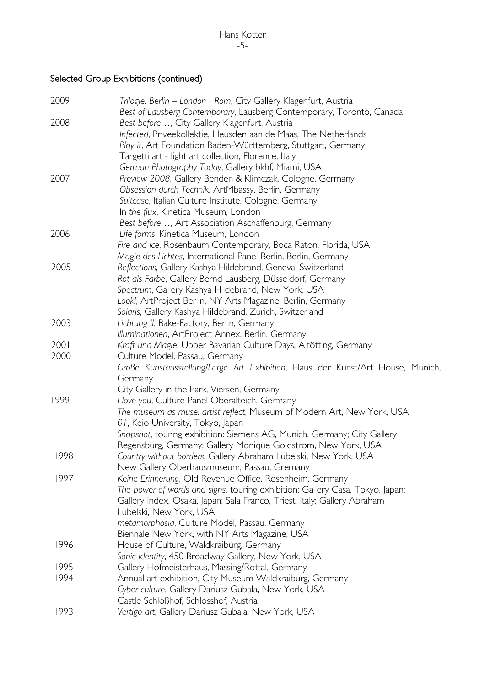### Selected Group Exhibitions (continued)

| 2009 | Trilogie: Berlin - London - Rom, City Gallery Klagenfurt, Austria              |
|------|--------------------------------------------------------------------------------|
|      | Best of Lausberg Contemporary, Lausberg Contemporary, Toronto, Canada          |
| 2008 | Best before, City Gallery Klagenfurt, Austria                                  |
|      | Infected, Priveekollektie, Heusden aan de Maas, The Netherlands                |
|      | Play it, Art Foundation Baden-Württemberg, Stuttgart, Germany                  |
|      | Targetti art - light art collection, Florence, Italy                           |
|      | German Photography Today, Gallery bkhf, Miami, USA                             |
| 2007 | Preview 2008, Gallery Benden & Klimczak, Cologne, Germany                      |
|      | Obsession durch Technik, ArtMbassy, Berlin, Germany                            |
|      | Suitcase, Italian Culture Institute, Cologne, Germany                          |
|      | In the flux, Kinetica Museum, London                                           |
|      | Best before, Art Association Aschaffenburg, Germany                            |
| 2006 | Life forms, Kinetica Museum, London                                            |
|      | Fire and ice, Rosenbaum Contemporary, Boca Raton, Florida, USA                 |
|      | Magie des Lichtes, International Panel Berlin, Berlin, Germany                 |
| 2005 | Reflections, Gallery Kashya Hildebrand, Geneva, Switzerland                    |
|      | Rot als Farbe, Gallery Bernd Lausberg, Düsseldorf, Germany                     |
|      | Spectrum, Gallery Kashya Hildebrand, New York, USA                             |
|      | Look!, ArtProject Berlin, NY Arts Magazine, Berlin, Germany                    |
|      | Solaris, Gallery Kashya Hildebrand, Zurich, Switzerland                        |
| 2003 | Lichtung II, Bake-Factory, Berlin, Germany                                     |
|      | Illuminationen, ArtProject Annex, Berlin, Germany                              |
| 2001 | Kraft und Magie, Upper Bavarian Culture Days, Altötting, Germany               |
| 2000 | Culture Model, Passau, Germany                                                 |
|      | Große Kunstausstellung/Large Art Exhibition, Haus der Kunst/Art House, Munich, |
|      | Germany                                                                        |
|      | City Gallery in the Park, Viersen, Germany                                     |
| 1999 | I love you, Culture Panel Oberalteich, Germany                                 |
|      | The museum as muse: artist reflect, Museum of Modern Art, New York, USA        |
|      | 01, Keio University, Tokyo, Japan                                              |
|      | Snapshot, touring exhibition: Siemens AG, Munich, Germany; City Gallery        |
|      | Regensburg, Germany; Gallery Monique Goldstrom, New York, USA                  |
| 1998 | Country without borders, Gallery Abraham Lubelski, New York, USA               |
|      | New Gallery Oberhausmuseum, Passau, Gremany                                    |
| 1997 | Keine Erinnerung, Old Revenue Office, Rosenheim, Germany                       |
|      | The power of words and signs, touring exhibition: Gallery Casa, Tokyo, Japan;  |
|      | Gallery Index, Osaka, Japan; Sala Franco, Triest, Italy; Gallery Abraham       |
|      | Lubelski, New York, USA                                                        |
|      | metamorphosia, Culture Model, Passau, Germany                                  |
|      | Biennale New York, with NY Arts Magazine, USA                                  |
| 1996 | House of Culture, Waldkraiburg, Germany                                        |
|      | Sonic identity, 450 Broadway Gallery, New York, USA                            |
| 1995 | Gallery Hofmeisterhaus, Massing/Rottal, Germany                                |
| 1994 | Annual art exhibition, City Museum Waldkraiburg, Germany                       |
|      | Cyber culture, Gallery Dariusz Gubala, New York, USA                           |
|      | Castle Schloßhof, Schlosshof, Austria                                          |
| 1993 | Vertigo art, Gallery Dariusz Gubala, New York, USA                             |
|      |                                                                                |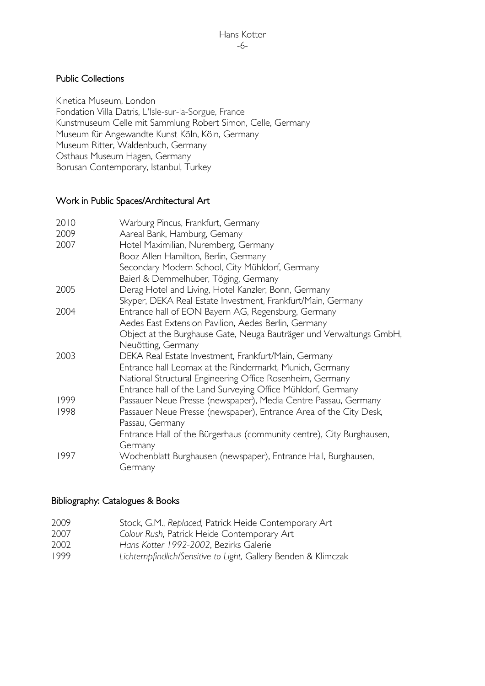### Public Collections

Kinetica Museum, London Fondation Villa Datris, L'Isle-sur-la-Sorgue, France Kunstmuseum Celle mit Sammlung Robert Simon, Celle, Germany Museum für Angewandte Kunst Köln, Köln, Germany Museum Ritter, Waldenbuch, Germany Osthaus Museum Hagen, Germany Borusan Contemporary, Istanbul, Turkey

#### Work in Public Spaces/Architectural Art

| 2010 | Warburg Pincus, Frankfurt, Germany                                   |
|------|----------------------------------------------------------------------|
| 2009 | Aareal Bank, Hamburg, Gemany                                         |
| 2007 | Hotel Maximilian, Nuremberg, Germany                                 |
|      | Booz Allen Hamilton, Berlin, Germany                                 |
|      | Secondary Modern School, City Mühldorf, Germany                      |
|      | Baierl & Demmelhuber, Töging, Germany                                |
| 2005 | Derag Hotel and Living, Hotel Kanzler, Bonn, Germany                 |
|      | Skyper, DEKA Real Estate Investment, Frankfurt/Main, Germany         |
| 2004 | Entrance hall of EON Bayern AG, Regensburg, Germany                  |
|      | Aedes East Extension Pavilion, Aedes Berlin, Germany                 |
|      | Object at the Burghause Gate, Neuga Bauträger und Verwaltungs GmbH,  |
|      | Neuötting, Germany                                                   |
| 2003 | DEKA Real Estate Investment, Frankfurt/Main, Germany                 |
|      | Entrance hall Leomax at the Rindermarkt, Munich, Germany             |
|      | National Structural Engineering Office Rosenheim, Germany            |
|      | Entrance hall of the Land Surveying Office Mühldorf, Germany         |
| 1999 | Passauer Neue Presse (newspaper), Media Centre Passau, Germany       |
| 1998 | Passauer Neue Presse (newspaper), Entrance Area of the City Desk,    |
|      | Passau, Germany                                                      |
|      | Entrance Hall of the Bürgerhaus (community centre), City Burghausen, |
|      | Germany                                                              |
| 1997 | Wochenblatt Burghausen (newspaper), Entrance Hall, Burghausen,       |
|      | Germany                                                              |

#### Bibliography: Catalogues & Books

- 2009 Stock, G.M., *Replaced,* Patrick Heide Contemporary Art
- 2007 *Colour Rush*, Patrick Heide Contemporary Art
- 2002 *Hans Kotter 1992-2002*, Bezirks Galerie
- 1999 *Lichtempfindlich/Sensitive to Light,* Gallery Benden & Klimczak